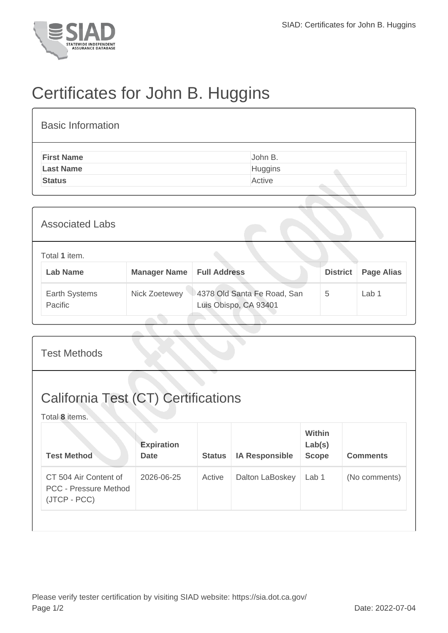

## Certificates for John B. Huggins

| <b>Basic Information</b> |         |
|--------------------------|---------|
| <b>First Name</b>        | John B. |
| <b>Last Name</b>         | Huggins |
| <b>Status</b>            | Active  |

| <b>Associated Labs</b>           |                                    |                                                      |                 |                   |
|----------------------------------|------------------------------------|------------------------------------------------------|-----------------|-------------------|
| Total 1 item.<br><b>Lab Name</b> | <b>Manager Name   Full Address</b> |                                                      | <b>District</b> | <b>Page Alias</b> |
| Earth Systems<br>Pacific         | Nick Zoetewey                      | 4378 Old Santa Fe Road, San<br>Luis Obispo, CA 93401 | 5               | Lab 1             |

| <b>Test Methods</b>                                                   |                                  |               |                       |                                         |                 |  |  |
|-----------------------------------------------------------------------|----------------------------------|---------------|-----------------------|-----------------------------------------|-----------------|--|--|
| <b>California Test (CT) Certifications</b><br>Total 8 items.          |                                  |               |                       |                                         |                 |  |  |
| <b>Test Method</b>                                                    | <b>Expiration</b><br><b>Date</b> | <b>Status</b> | <b>IA Responsible</b> | <b>Within</b><br>Lab(s)<br><b>Scope</b> | <b>Comments</b> |  |  |
| CT 504 Air Content of<br><b>PCC - Pressure Method</b><br>(JTCP - PCC) | 2026-06-25                       | Active        | Dalton LaBoskey       | Lab 1                                   | (No comments)   |  |  |